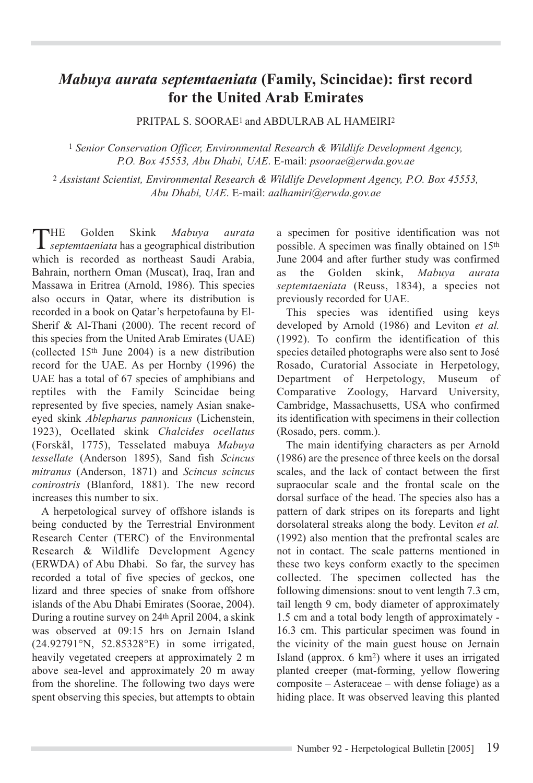## *Mabuya aurata septemtaeniata* **(Family, Scincidae): first record for the United Arab Emirates**

PRITPAL S. SOORAE<sup>1</sup> and ABDULRAB AL HAMEIRI<sup>2</sup>

<sup>1</sup> *Senior Conservation Officer, Environmental Research & Wildlife Development Agency, P.O. Box 45553, Abu Dhabi, UAE*. E-mail: *psoorae@erwda.gov.ae*

<sup>2</sup> *Assistant Scientist, Environmental Research & Wildlife Development Agency, P.O. Box 45553, Abu Dhabi, UAE*. E-mail: *aalhamiri@erwda.gov.ae*

THE Golden Skink *Mabuya aurata septemtaeniata* has a geographical distribution which is recorded as northeast Saudi Arabia, Bahrain, northern Oman (Muscat), Iraq, Iran and Massawa in Eritrea (Arnold, 1986). This species also occurs in Qatar, where its distribution is recorded in a book on Qatar's herpetofauna by El-Sherif & Al-Thani (2000). The recent record of this species from the United Arab Emirates (UAE) (collected 15th June 2004) is a new distribution record for the UAE. As per Hornby (1996) the UAE has a total of 67 species of amphibians and reptiles with the Family Scincidae being represented by five species, namely Asian snakeeyed skink *Ablepharus pannonicus* (Lichenstein, 1923), Ocellated skink *Chalcides ocellatus* (Forskål, 1775), Tesselated mabuya *Mabuya tessellate* (Anderson 1895), Sand fish *Scincus mitranus* (Anderson, 1871) and *Scincus scincus conirostris* (Blanford, 1881). The new record increases this number to six.

A herpetological survey of offshore islands is being conducted by the Terrestrial Environment Research Center (TERC) of the Environmental Research & Wildlife Development Agency (ERWDA) of Abu Dhabi. So far, the survey has recorded a total of five species of geckos, one lizard and three species of snake from offshore islands of the Abu Dhabi Emirates (Soorae, 2004). During a routine survey on 24th April 2004, a skink was observed at 09:15 hrs on Jernain Island (24.92791°N, 52.85328°E) in some irrigated, heavily vegetated creepers at approximately 2 m above sea-level and approximately 20 m away from the shoreline. The following two days were spent observing this species, but attempts to obtain

a specimen for positive identification was not possible. A specimen was finally obtained on 15th June 2004 and after further study was confirmed as the Golden skink, *Mabuya aurata septemtaeniata* (Reuss, 1834), a species not previously recorded for UAE.

This species was identified using keys developed by Arnold (1986) and Leviton *et al.* (1992). To confirm the identification of this species detailed photographs were also sent to José Rosado, Curatorial Associate in Herpetology, Department of Herpetology, Museum of Comparative Zoology, Harvard University, Cambridge, Massachusetts, USA who confirmed its identification with specimens in their collection (Rosado, pers. comm.).

The main identifying characters as per Arnold (1986) are the presence of three keels on the dorsal scales, and the lack of contact between the first supraocular scale and the frontal scale on the dorsal surface of the head. The species also has a pattern of dark stripes on its foreparts and light dorsolateral streaks along the body. Leviton *et al.* (1992) also mention that the prefrontal scales are not in contact. The scale patterns mentioned in these two keys conform exactly to the specimen collected. The specimen collected has the following dimensions: snout to vent length 7.3 cm, tail length 9 cm, body diameter of approximately 1.5 cm and a total body length of approximately - 16.3 cm. This particular specimen was found in the vicinity of the main guest house on Jernain Island (approx. 6 km2) where it uses an irrigated planted creeper (mat-forming, yellow flowering composite – Asteraceae – with dense foliage) as a hiding place. It was observed leaving this planted